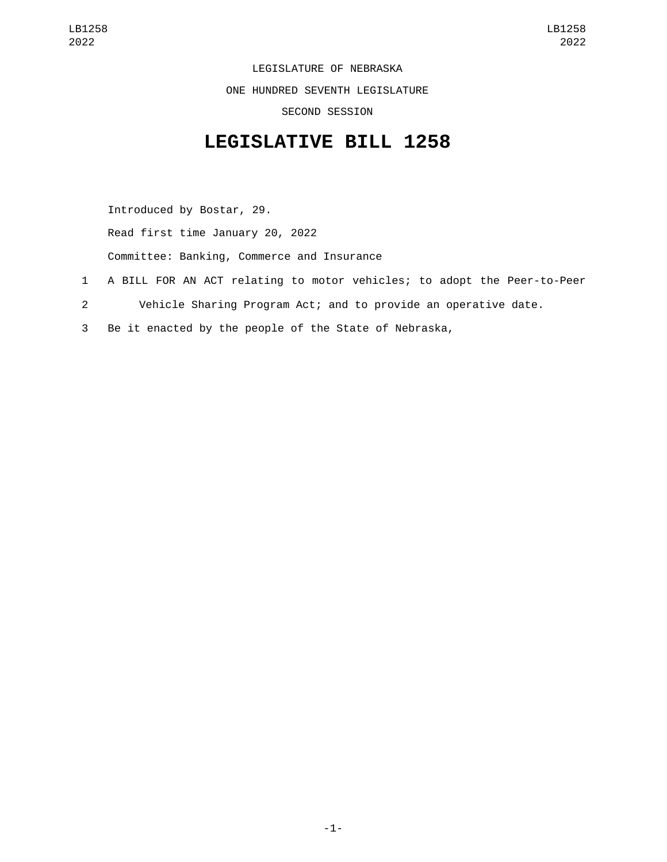LEGISLATURE OF NEBRASKA ONE HUNDRED SEVENTH LEGISLATURE SECOND SESSION

## **LEGISLATIVE BILL 1258**

Introduced by Bostar, 29. Read first time January 20, 2022 Committee: Banking, Commerce and Insurance 1 A BILL FOR AN ACT relating to motor vehicles; to adopt the Peer-to-Peer

- 2 Vehicle Sharing Program Act; and to provide an operative date.
- 3 Be it enacted by the people of the State of Nebraska,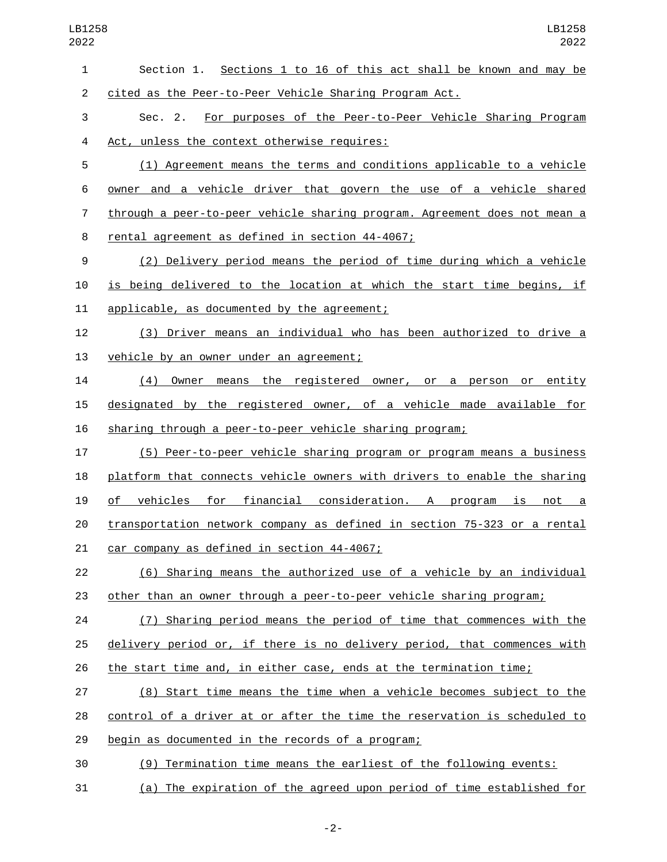| $\mathbf{1}$   | Section 1. Sections 1 to 16 of this act shall be known and may be         |
|----------------|---------------------------------------------------------------------------|
| $\overline{2}$ | cited as the Peer-to-Peer Vehicle Sharing Program Act.                    |
| 3              | For purposes of the Peer-to-Peer Vehicle Sharing Program<br>Sec. 2.       |
| 4              | Act, unless the context otherwise requires:                               |
| 5              | (1) Agreement means the terms and conditions applicable to a vehicle      |
| 6              | owner and a vehicle driver that govern the use of a vehicle shared        |
| 7              | through a peer-to-peer vehicle sharing program. Agreement does not mean a |
| 8              | rental agreement as defined in section 44-4067;                           |
| 9              | (2) Delivery period means the period of time during which a vehicle       |
| 10             | is being delivered to the location at which the start time begins, if     |
| 11             | applicable, as documented by the agreement;                               |
| 12             | (3) Driver means an individual who has been authorized to drive a         |
| 13             | vehicle by an owner under an agreement;                                   |
| 14             | (4) Owner means the registered owner, or a person or entity               |
| 15             | designated by the registered owner, of a vehicle made available for       |
| 16             | sharing through a peer-to-peer vehicle sharing program;                   |
| 17             | (5) Peer-to-peer vehicle sharing program or program means a business      |
| 18             | platform that connects vehicle owners with drivers to enable the sharing  |
| 19             | vehicles for financial consideration. A program is not a<br>of _          |
| 20             | transportation network company as defined in section 75-323 or a rental   |
| 21             | car company as defined in section 44-4067;                                |
| 22             | (6) Sharing means the authorized use of a vehicle by an individual        |
| 23             | other than an owner through a peer-to-peer vehicle sharing program;       |
| 24             | (7) Sharing period means the period of time that commences with the       |
| 25             | delivery period or, if there is no delivery period, that commences with   |
| 26             | the start time and, in either case, ends at the termination time;         |
| 27             | (8) Start time means the time when a vehicle becomes subject to the       |
| 28             | control of a driver at or after the time the reservation is scheduled to  |
| 29             | begin as documented in the records of a program;                          |
| 30             | (9) Termination time means the earliest of the following events:          |

(a) The expiration of the agreed upon period of time established for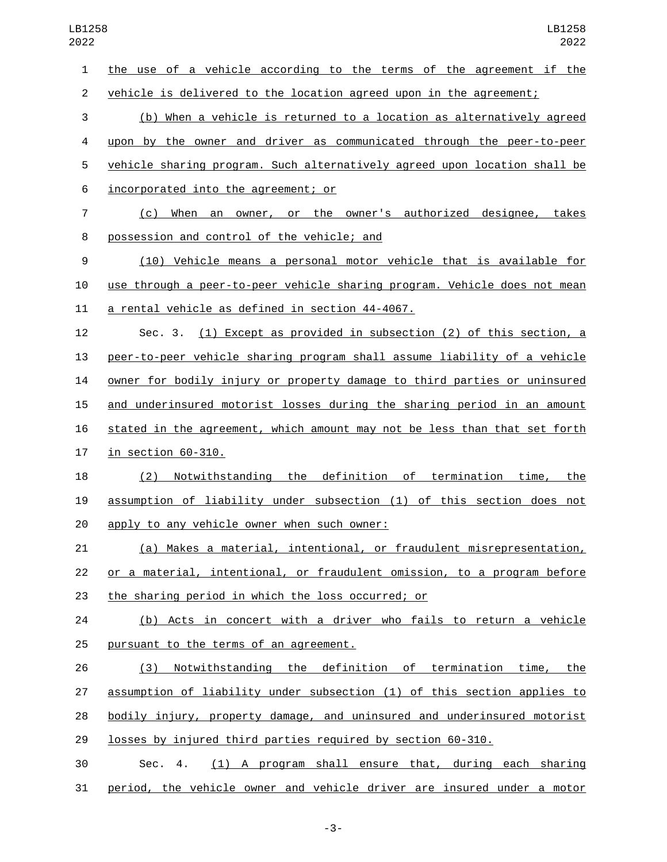the use of a vehicle according to the terms of the agreement if the vehicle is delivered to the location agreed upon in the agreement;

 (b) When a vehicle is returned to a location as alternatively agreed upon by the owner and driver as communicated through the peer-to-peer vehicle sharing program. Such alternatively agreed upon location shall be incorporated into the agreement; or6

 (c) When an owner, or the owner's authorized designee, takes 8 possession and control of the vehicle; and

 (10) Vehicle means a personal motor vehicle that is available for use through a peer-to-peer vehicle sharing program. Vehicle does not mean 11 a rental vehicle as defined in section 44-4067.

 Sec. 3. (1) Except as provided in subsection (2) of this section, a peer-to-peer vehicle sharing program shall assume liability of a vehicle owner for bodily injury or property damage to third parties or uninsured and underinsured motorist losses during the sharing period in an amount stated in the agreement, which amount may not be less than that set forth in section  $60-310$ .

 (2) Notwithstanding the definition of termination time, the assumption of liability under subsection (1) of this section does not 20 apply to any vehicle owner when such owner:

 (a) Makes a material, intentional, or fraudulent misrepresentation, or a material, intentional, or fraudulent omission, to a program before 23 the sharing period in which the loss occurred; or

 (b) Acts in concert with a driver who fails to return a vehicle 25 pursuant to the terms of an agreement.

 (3) Notwithstanding the definition of termination time, the assumption of liability under subsection (1) of this section applies to bodily injury, property damage, and uninsured and underinsured motorist losses by injured third parties required by section 60-310.

 Sec. 4. (1) A program shall ensure that, during each sharing period, the vehicle owner and vehicle driver are insured under a motor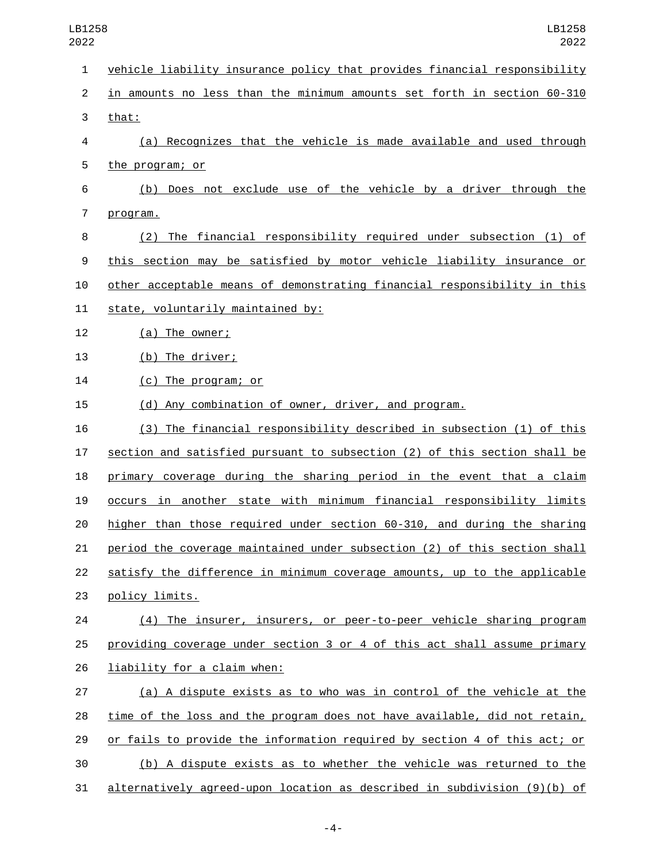vehicle liability insurance policy that provides financial responsibility in amounts no less than the minimum amounts set forth in section 60-310 3 that: (a) Recognizes that the vehicle is made available and used through 5 the program; or (b) Does not exclude use of the vehicle by a driver through the 7 program. (2) The financial responsibility required under subsection (1) of this section may be satisfied by motor vehicle liability insurance or other acceptable means of demonstrating financial responsibility in this 11 state, voluntarily maintained by: 12 (a) The owner; 13 (b) The driver; 14 (c) The program; or (d) Any combination of owner, driver, and program. (3) The financial responsibility described in subsection (1) of this section and satisfied pursuant to subsection (2) of this section shall be primary coverage during the sharing period in the event that a claim occurs in another state with minimum financial responsibility limits higher than those required under section 60-310, and during the sharing period the coverage maintained under subsection (2) of this section shall satisfy the difference in minimum coverage amounts, up to the applicable 23 policy limits. (4) The insurer, insurers, or peer-to-peer vehicle sharing program providing coverage under section 3 or 4 of this act shall assume primary LB1258 LB1258 

26 liability for a claim when:

 (a) A dispute exists as to who was in control of the vehicle at the time of the loss and the program does not have available, did not retain, or fails to provide the information required by section 4 of this act; or (b) A dispute exists as to whether the vehicle was returned to the alternatively agreed-upon location as described in subdivision (9)(b) of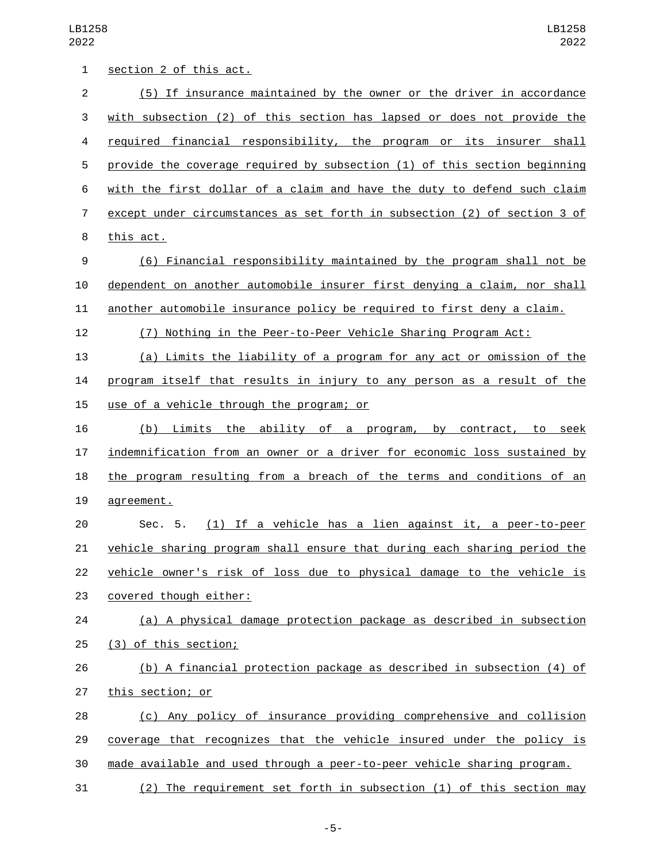LB1258 

| 1              | section 2 of this act.                                                    |
|----------------|---------------------------------------------------------------------------|
| $\overline{2}$ | (5) If insurance maintained by the owner or the driver in accordance      |
| 3              | with subsection (2) of this section has lapsed or does not provide the    |
| 4              | required financial responsibility, the program or its insurer shall       |
| 5              | provide the coverage required by subsection (1) of this section beginning |
| 6              | with the first dollar of a claim and have the duty to defend such claim   |
| 7              | except under circumstances as set forth in subsection (2) of section 3 of |
| 8              | this act.                                                                 |
| 9              | (6) Financial responsibility maintained by the program shall not be       |
| 10             | dependent on another automobile insurer first denying a claim, nor shall  |
| 11             | another automobile insurance policy be required to first deny a claim.    |
| 12             | (7) Nothing in the Peer-to-Peer Vehicle Sharing Program Act:              |
| 13             | (a) Limits the liability of a program for any act or omission of the      |
| 14             | program itself that results in injury to any person as a result of the    |
| 15             | use of a vehicle through the program; or                                  |
| 16             | (b) Limits the ability of a program, by contract, to seek                 |
| 17             | indemnification from an owner or a driver for economic loss sustained by  |
| 18             | the program resulting from a breach of the terms and conditions of an     |
| 19             | agreement.                                                                |
| 20             | (1) If a vehicle has a lien against it, a peer-to-peer<br>Sec. 5.         |
| 21             | vehicle sharing program shall ensure that during each sharing period the  |
| 22             | vehicle owner's risk of loss due to physical damage to the vehicle is     |
| 23             | covered though either:                                                    |
| 24             | (a) A physical damage protection package as described in subsection       |
| 25             | (3) of this section;                                                      |
| 26             | (b) A financial protection package as described in subsection (4) of      |
| 27             | this section; or                                                          |
| 28             | (c) Any policy of insurance providing comprehensive and collision         |
| 29             | coverage that recognizes that the vehicle insured under the policy is     |
| 30             | made available and used through a peer-to-peer vehicle sharing program.   |
| 31             | (2) The requirement set forth in subsection (1) of this section may       |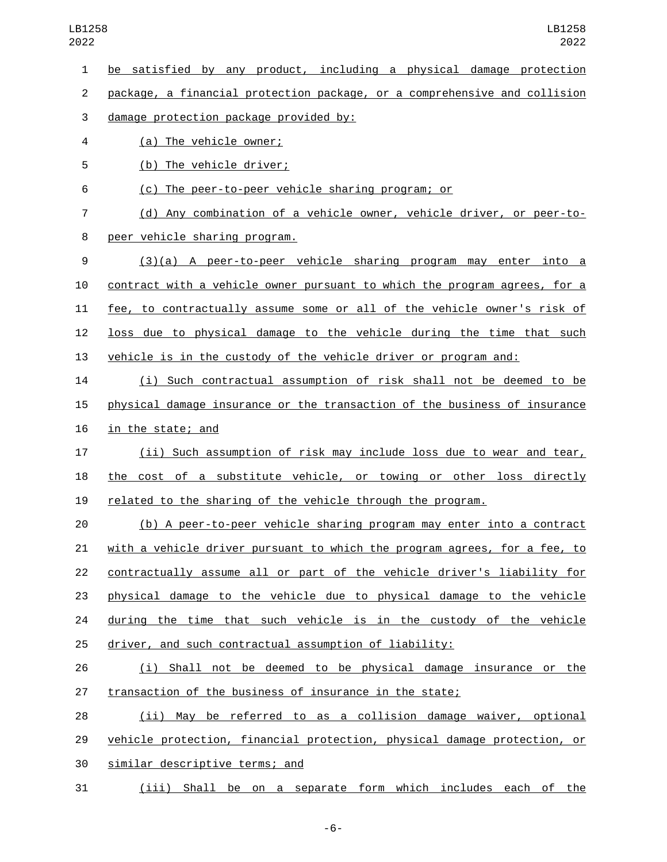be satisfied by any product, including a physical damage protection

package, a financial protection package, or a comprehensive and collision

damage protection package provided by:3

(a) The vehicle owner;4

5 (b) The vehicle driver;

(c) The peer-to-peer vehicle sharing program; or

 (d) Any combination of a vehicle owner, vehicle driver, or peer-to-8 peer vehicle sharing program.

 (3)(a) A peer-to-peer vehicle sharing program may enter into a contract with a vehicle owner pursuant to which the program agrees, for a fee, to contractually assume some or all of the vehicle owner's risk of loss due to physical damage to the vehicle during the time that such vehicle is in the custody of the vehicle driver or program and:

 (i) Such contractual assumption of risk shall not be deemed to be physical damage insurance or the transaction of the business of insurance 16 in the state; and

 (ii) Such assumption of risk may include loss due to wear and tear, the cost of a substitute vehicle, or towing or other loss directly related to the sharing of the vehicle through the program.

 (b) A peer-to-peer vehicle sharing program may enter into a contract with a vehicle driver pursuant to which the program agrees, for a fee, to contractually assume all or part of the vehicle driver's liability for physical damage to the vehicle due to physical damage to the vehicle during the time that such vehicle is in the custody of the vehicle driver, and such contractual assumption of liability:

 (i) Shall not be deemed to be physical damage insurance or the transaction of the business of insurance in the state;

 (ii) May be referred to as a collision damage waiver, optional vehicle protection, financial protection, physical damage protection, or 30 similar descriptive terms; and

(iii) Shall be on a separate form which includes each of the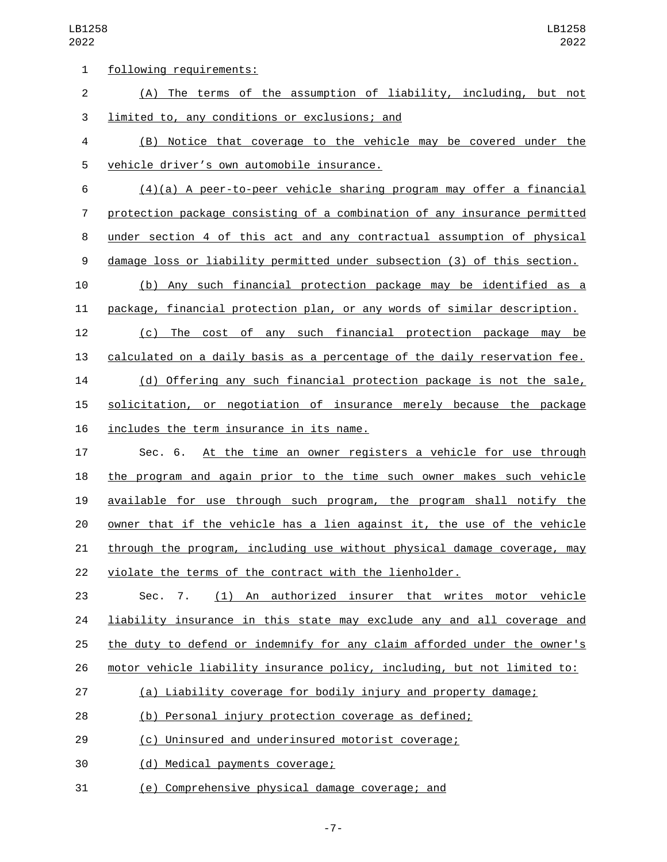| 1              | following requirements:                                                   |
|----------------|---------------------------------------------------------------------------|
| $\overline{c}$ | (A) The terms of the assumption of liability, including, but not          |
| 3              | limited to, any conditions or exclusions; and                             |
| 4              | (B) Notice that coverage to the vehicle may be covered under the          |
| 5              | vehicle driver's own automobile insurance.                                |
| 6              | $(4)(a)$ A peer-to-peer vehicle sharing program may offer a financial     |
| 7              | protection package consisting of a combination of any insurance permitted |
| 8              | under section 4 of this act and any contractual assumption of physical    |
| 9              | damage loss or liability permitted under subsection (3) of this section.  |
| 10             | (b) Any such financial protection package may be identified as a          |
| 11             | package, financial protection plan, or any words of similar description.  |
| 12             | The cost of any such financial protection package may<br>(C)<br>be        |
| 13             | calculated on a daily basis as a percentage of the daily reservation fee. |
| 14             | (d) Offering any such financial protection package is not the sale,       |
| 15             | solicitation, or negotiation of insurance merely because the package      |
| 16             | includes the term insurance in its name.                                  |
| 17             | At the time an owner registers a vehicle for use through<br>Sec. 6.       |
| 18             | the program and again prior to the time such owner makes such vehicle     |
| 19             | available for use through such program, the program shall notify the      |
| 20             | owner that if the vehicle has a lien against it, the use of the vehicle   |
| 21             | through the program, including use without physical damage coverage, may  |
| 22             | violate the terms of the contract with the lienholder.                    |
| 23             | (1) An authorized insurer that writes motor vehicle<br>Sec. 7.            |
| 24             | liability insurance in this state may exclude any and all coverage and    |
| 25             | the duty to defend or indemnify for any claim afforded under the owner's  |
| 26             | motor vehicle liability insurance policy, including, but not limited to:  |
| 27             | (a) Liability coverage for bodily injury and property damage;             |
| 28             | (b) Personal injury protection coverage as defined;                       |
| 29             | (c) Uninsured and underinsured motorist coverage;                         |
| 30             | (d) Medical payments coverage;                                            |
| 31             | (e) Comprehensive physical damage coverage; and                           |
|                |                                                                           |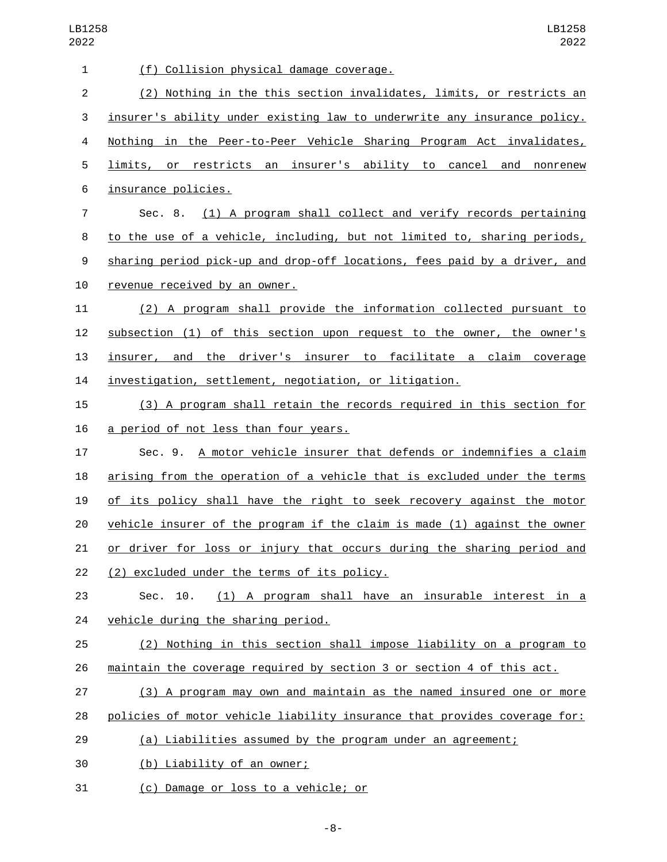| (f) Collision physical damage coverage.                                   |
|---------------------------------------------------------------------------|
| (2) Nothing in the this section invalidates, limits, or restricts an      |
| insurer's ability under existing law to underwrite any insurance policy.  |
| Nothing in the Peer-to-Peer Vehicle Sharing Program Act invalidates,      |
| limits, or restricts an insurer's ability to cancel and nonrenew          |
|                                                                           |
| Sec. 8. (1) A program shall collect and verify records pertaining         |
| to the use of a vehicle, including, but not limited to, sharing periods,  |
| sharing period pick-up and drop-off locations, fees paid by a driver, and |
| revenue received by an owner.                                             |
| (2) A program shall provide the information collected pursuant to         |
| subsection (1) of this section upon request to the owner, the owner's     |
| insurer, and the driver's insurer to facilitate a claim coverage          |
| investigation, settlement, negotiation, or litigation.                    |
| (3) A program shall retain the records required in this section for       |
| a period of not less than four years.                                     |
| Sec. 9. A motor vehicle insurer that defends or indemnifies a claim       |
| arising from the operation of a vehicle that is excluded under the terms  |
| of its policy shall have the right to seek recovery against the motor     |
| vehicle insurer of the program if the claim is made (1) against the owner |
| or driver for loss or injury that occurs during the sharing period and    |
| (2) excluded under the terms of its policy.                               |
| (1) A program shall have an insurable interest in a                       |
| vehicle during the sharing period.                                        |
| (2) Nothing in this section shall impose liability on a program to        |
| maintain the coverage required by section 3 or section 4 of this act.     |
| (3) A program may own and maintain as the named insured one or more       |
| policies of motor vehicle liability insurance that provides coverage for: |
| (a) Liabilities assumed by the program under an agreement;                |
| (b) Liability of an owner;                                                |
|                                                                           |

31 (c) Damage or loss to a vehicle; or

-8-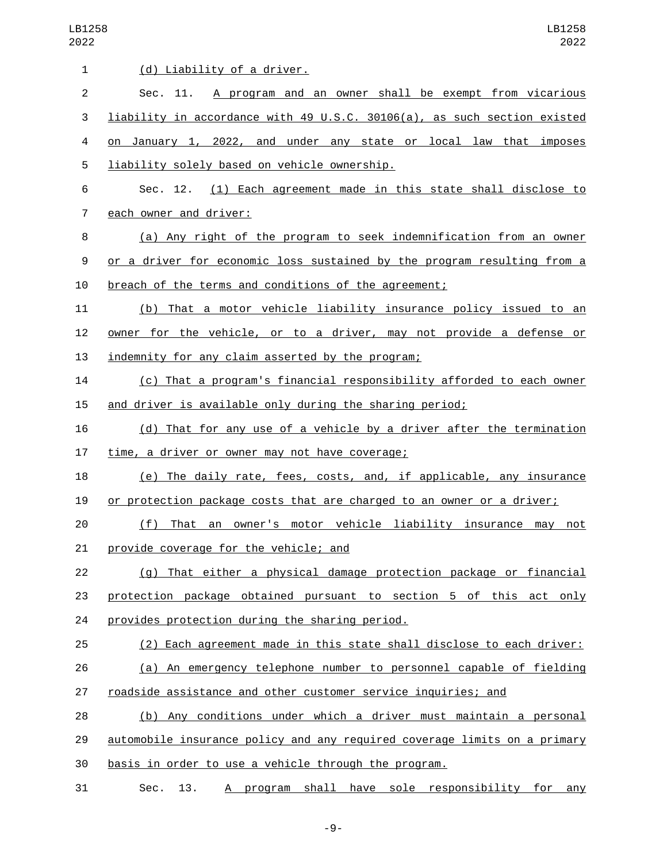| $\mathbf{1}$   | (d) Liability of a driver.                                                |
|----------------|---------------------------------------------------------------------------|
| $\overline{2}$ | Sec. 11. A program and an owner shall be exempt from vicarious            |
|                |                                                                           |
| 3              | liability in accordance with 49 U.S.C. 30106(a), as such section existed  |
| 4              | on January 1, 2022, and under any state or local law that imposes         |
| 5              | liability solely based on vehicle ownership.                              |
| 6              | Sec. 12. (1) Each agreement made in this state shall disclose to          |
| 7              | each owner and driver:                                                    |
| 8              | (a) Any right of the program to seek indemnification from an owner        |
| 9              | or a driver for economic loss sustained by the program resulting from a   |
| 10             | breach of the terms and conditions of the agreement;                      |
| 11             | (b) That a motor vehicle liability insurance policy issued to an          |
| 12             | owner for the vehicle, or to a driver, may not provide a defense or       |
| 13             | indemnity for any claim asserted by the program;                          |
| 14             | (c) That a program's financial responsibility afforded to each owner      |
| 15             | and driver is available only during the sharing period;                   |
| 16             | (d) That for any use of a vehicle by a driver after the termination       |
| 17             | time, a driver or owner may not have coverage;                            |
| 18             | (e) The daily rate, fees, costs, and, if applicable, any insurance        |
| 19             | or protection package costs that are charged to an owner or a driver;     |
| 20             | That an owner's motor vehicle liability insurance may not<br>(f)          |
| 21             | provide coverage for the vehicle; and                                     |
| 22             | (g) That either a physical damage protection package or financial         |
| 23             | protection package obtained pursuant to section 5 of this act only        |
| 24             | provides protection during the sharing period.                            |
| 25             | (2) Each agreement made in this state shall disclose to each driver:      |
| 26             | (a) An emergency telephone number to personnel capable of fielding        |
| 27             | roadside assistance and other customer service inquiries; and             |
| 28             | (b) Any conditions under which a driver must maintain a personal          |
| 29             | automobile insurance policy and any required coverage limits on a primary |
| 30             | basis in order to use a vehicle through the program.                      |
| 31             | Sec. 13. A program shall have sole responsibility for any                 |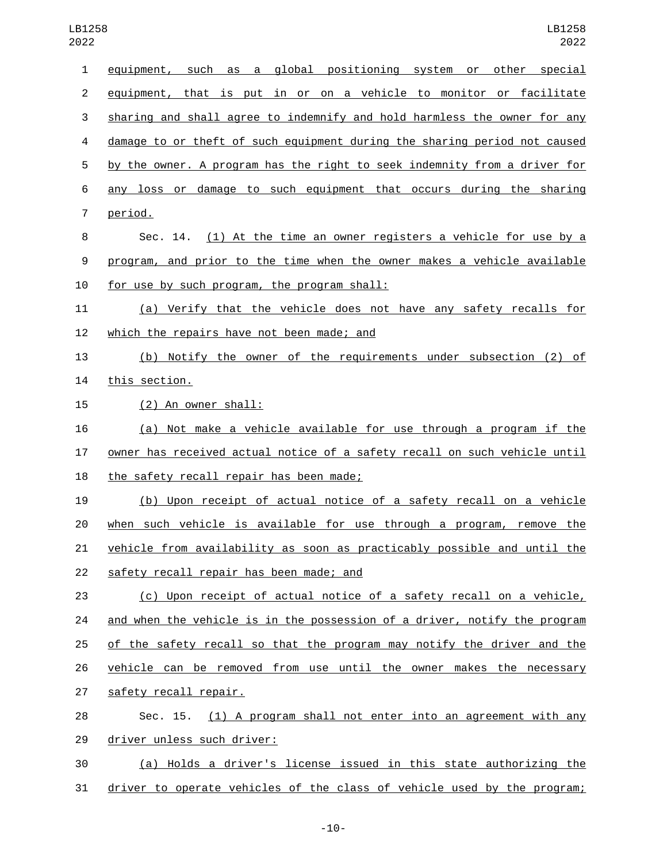| 1              | equipment, such as a global positioning system or other special           |
|----------------|---------------------------------------------------------------------------|
| $\overline{2}$ | equipment, that is put in or on a vehicle to monitor or facilitate        |
| 3              | sharing and shall agree to indemnify and hold harmless the owner for any  |
| 4              | damage to or theft of such equipment during the sharing period not caused |
| 5              | by the owner. A program has the right to seek indemnity from a driver for |
| 6              | any loss or damage to such equipment that occurs during the sharing       |
| $\overline{7}$ | period.                                                                   |
| 8              | Sec. 14. (1) At the time an owner registers a vehicle for use by a        |
| 9              | program, and prior to the time when the owner makes a vehicle available   |
| 10             | for use by such program, the program shall:                               |
| 11             | (a) Verify that the vehicle does not have any safety recalls for          |
| 12             | which the repairs have not been made; and                                 |
| 13             | (b) Notify the owner of the requirements under subsection (2) of          |
| 14             | this section.                                                             |
| 15             | (2) An owner shall:                                                       |
| 16             | (a) Not make a vehicle available for use through a program if the         |
| 17             | owner has received actual notice of a safety recall on such vehicle until |
| 18             | the safety recall repair has been made;                                   |
| 19             | (b) Upon receipt of actual notice of a safety recall on a vehicle         |
| 20             | when such vehicle is available for use through a program, remove the      |
| 21             | vehicle from availability as soon as practicably possible and until the   |
| 22             | safety recall repair has been made; and                                   |
| 23             | (c) Upon receipt of actual notice of a safety recall on a vehicle,        |
| 24             | and when the vehicle is in the possession of a driver, notify the program |
| 25             | of the safety recall so that the program may notify the driver and the    |
| 26             | vehicle can be removed from use until the owner makes the necessary       |
| 27             | safety recall repair.                                                     |
| 28             | (1) A program shall not enter into an agreement with any<br>Sec. 15.      |
| 29             | driver unless such driver:                                                |
| 30             | (a) Holds a driver's license issued in this state authorizing the         |
| 31             | driver to operate vehicles of the class of vehicle used by the program;   |